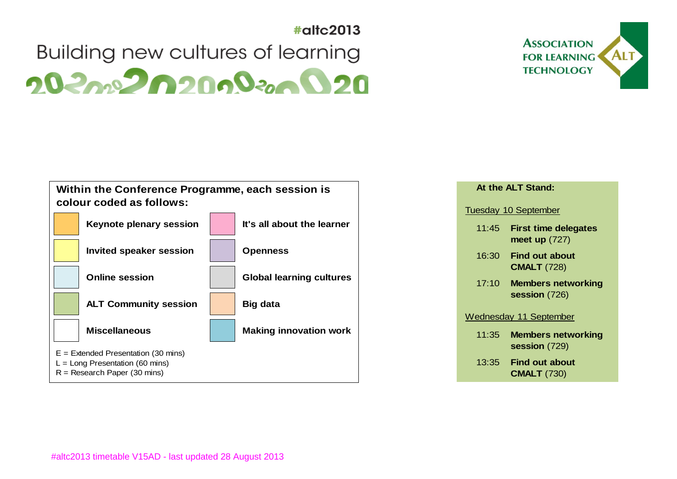

## $\#$ altc $2013$ Building new cultures of learning  $20<sub>20</sub>$ <sup>2</sup>0200<sup>2</sup><sub>200</sub>020



|                             | At the ALT Stand:                              |  |  |  |  |
|-----------------------------|------------------------------------------------|--|--|--|--|
| <b>Tuesday 10 September</b> |                                                |  |  |  |  |
| 11:45                       | <b>First time delegates</b><br>meet up $(727)$ |  |  |  |  |
|                             | 16:30 Find out about<br><b>CMALT (728)</b>     |  |  |  |  |
| 17:10                       | <b>Members networking</b><br>session $(726)$   |  |  |  |  |
|                             | Wednesday 11 September                         |  |  |  |  |
| 11:35                       | <b>Members networking</b><br>session (729)     |  |  |  |  |
|                             | 13:35 Find out about<br><b>CMALT</b> (730)     |  |  |  |  |
|                             |                                                |  |  |  |  |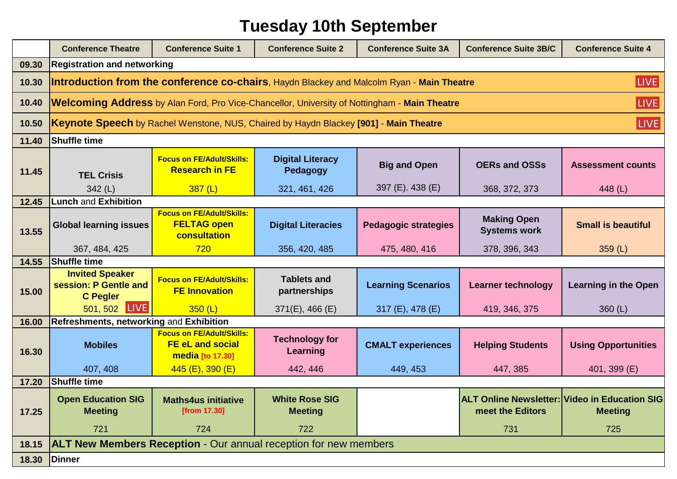## **Tuesday 10th September**

|       | <b>Conference Theatre</b>                                                                                   | <b>Conference Suite 1</b>                                                       | <b>Conference Suite 2</b>                      | <b>Conference Suite 3A</b>  | <b>Conference Suite 3B/C</b>                                                    | <b>Conference Suite 4</b>   |
|-------|-------------------------------------------------------------------------------------------------------------|---------------------------------------------------------------------------------|------------------------------------------------|-----------------------------|---------------------------------------------------------------------------------|-----------------------------|
| 09.30 | <b>Registration and networking</b>                                                                          |                                                                                 |                                                |                             |                                                                                 |                             |
| 10.30 | LIVE<br><b>Introduction from the conference co-chairs</b> , Haydn Blackey and Malcolm Ryan - Main Theatre   |                                                                                 |                                                |                             |                                                                                 |                             |
| 10.40 | LIVE<br><b>Welcoming Address</b> by Alan Ford, Pro Vice-Chancellor, University of Nottingham - Main Theatre |                                                                                 |                                                |                             |                                                                                 |                             |
| 10.50 | <b>LIVE</b><br><b>Keynote Speech</b> by Rachel Wenstone, NUS, Chaired by Haydn Blackey [901] - Main Theatre |                                                                                 |                                                |                             |                                                                                 |                             |
| 11.40 | <b>Shuffle time</b>                                                                                         |                                                                                 |                                                |                             |                                                                                 |                             |
| 11.45 | <b>TEL Crisis</b>                                                                                           | <b>Focus on FE/Adult/Skills:</b><br><b>Research in FE</b>                       | <b>Digital Literacy</b><br>Pedagogy            | <b>Big and Open</b>         | <b>OERs and OSSs</b>                                                            | <b>Assessment counts</b>    |
|       | 342 $(L)$                                                                                                   | 387(L)                                                                          | 321, 461, 426                                  | 397 (E). 438 (E)            | 368, 372, 373                                                                   | 448 $(L)$                   |
| 12.45 | <b>Lunch and Exhibition</b>                                                                                 |                                                                                 |                                                |                             |                                                                                 |                             |
| 13.55 | <b>Global learning issues</b>                                                                               | <b>Focus on FE/Adult/Skills:</b><br><b>FELTAG open</b><br>consultation          | <b>Digital Literacies</b>                      | <b>Pedagogic strategies</b> | <b>Making Open</b><br><b>Systems work</b>                                       | <b>Small is beautiful</b>   |
|       | 367, 484, 425                                                                                               | 720                                                                             | 356, 420, 485                                  | 475, 480, 416               | 378, 396, 343                                                                   | 359 $(L)$                   |
| 14.55 | <b>Shuffle time</b>                                                                                         |                                                                                 |                                                |                             |                                                                                 |                             |
| 15.00 | <b>Invited Speaker</b><br>session: P Gentle and<br><b>C</b> Pegler                                          | <b>Focus on FE/Adult/Skills:</b><br><b>FE Innovation</b>                        | <b>Tablets and</b><br>partnerships             | <b>Learning Scenarios</b>   | <b>Learner technology</b>                                                       | <b>Learning in the Open</b> |
|       | <b>LIVE</b><br>501, 502                                                                                     | 350(L)                                                                          | $371(E)$ , 466 (E)                             | 317 (E), 478 (E)            | 419, 346, 375                                                                   | 360 $(L)$                   |
| 16.00 | <b>Refreshments, networking and Exhibition</b>                                                              |                                                                                 |                                                |                             |                                                                                 |                             |
| 16.30 | <b>Mobiles</b>                                                                                              | <b>Focus on FE/Adult/Skills:</b><br><b>FE eL and social</b><br>media [to 17.30] | <b>Technology for</b><br>Learning              | <b>CMALT experiences</b>    | <b>Helping Students</b>                                                         | <b>Using Opportunities</b>  |
|       | 407, 408                                                                                                    | $445$ (E), 390 (E)                                                              | 442, 446                                       | 449, 453                    | 447, 385                                                                        | 401, 399 (E)                |
| 17.20 | <b>Shuffle time</b>                                                                                         |                                                                                 |                                                |                             |                                                                                 |                             |
| 17.25 | <b>Open Education SIG</b><br><b>Meeting</b><br>721                                                          | <b>Maths4us initiative</b><br>[from 17.30]<br>724                               | <b>White Rose SIG</b><br><b>Meeting</b><br>722 |                             | <b>ALT Online Newsletter: Video in Education SIG</b><br>meet the Editors<br>731 | <b>Meeting</b><br>725       |
|       |                                                                                                             |                                                                                 |                                                |                             |                                                                                 |                             |
|       | 18.15 <b>ALT New Members Reception</b> - Our annual reception for new members                               |                                                                                 |                                                |                             |                                                                                 |                             |
| 18.30 | Dinner                                                                                                      |                                                                                 |                                                |                             |                                                                                 |                             |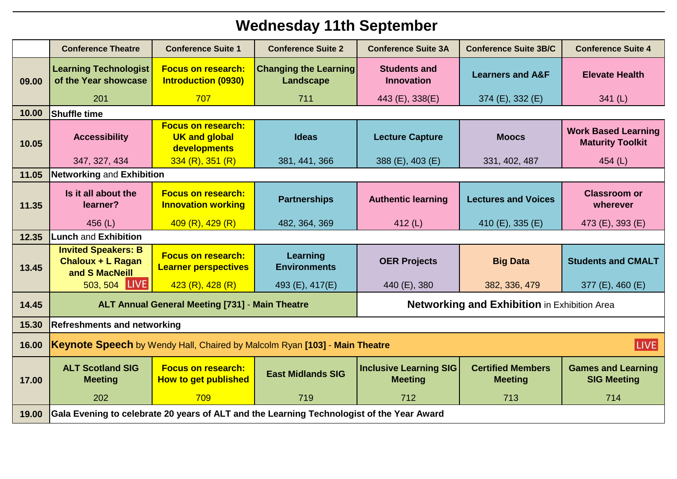## **Wednesday 11th September**

|       | <b>Conference Theatre</b>                                                                 | <b>Conference Suite 1</b>                                         | <b>Conference Suite 2</b>                 | <b>Conference Suite 3A</b>                          | <b>Conference Suite 3B/C</b>               | <b>Conference Suite 4</b>                             |  |
|-------|-------------------------------------------------------------------------------------------|-------------------------------------------------------------------|-------------------------------------------|-----------------------------------------------------|--------------------------------------------|-------------------------------------------------------|--|
| 09.00 | <b>Learning Technologist</b><br>of the Year showcase                                      | <b>Focus on research:</b><br><b>Introduction (0930)</b>           | <b>Changing the Learning</b><br>Landscape | <b>Students and</b><br><b>Innovation</b>            | <b>Learners and A&amp;F</b>                | <b>Elevate Health</b>                                 |  |
|       | 201                                                                                       | 707                                                               | 711                                       | 443 (E), 338(E)                                     | 374 (E), 332 (E)                           | 341(L)                                                |  |
| 10.00 | <b>Shuffle time</b>                                                                       |                                                                   |                                           |                                                     |                                            |                                                       |  |
| 10.05 | <b>Accessibility</b>                                                                      | <b>Focus on research:</b><br><b>UK and global</b><br>developments | <b>Ideas</b>                              | <b>Lecture Capture</b>                              | <b>Moocs</b>                               | <b>Work Based Learning</b><br><b>Maturity Toolkit</b> |  |
|       | 347, 327, 434                                                                             | 334 (R), 351 (R)                                                  | 381, 441, 366                             | 388 (E), 403 (E)                                    | 331, 402, 487                              | 454 (L)                                               |  |
| 11.05 | <b>Networking and Exhibition</b>                                                          |                                                                   |                                           |                                                     |                                            |                                                       |  |
| 11.35 | Is it all about the<br>learner?                                                           | <b>Focus on research:</b><br><b>Innovation working</b>            | <b>Partnerships</b>                       | <b>Authentic learning</b>                           | <b>Lectures and Voices</b>                 | <b>Classroom or</b><br>wherever                       |  |
|       | 456 (L)                                                                                   | 409(R), 429(R)                                                    | 482, 364, 369                             | 412 $(L)$                                           | 410 (E), 335 (E)                           | 473 (E), 393 (E)                                      |  |
| 12.35 | <b>Lunch and Exhibition</b>                                                               |                                                                   |                                           |                                                     |                                            |                                                       |  |
| 13.45 | <b>Invited Speakers: B</b><br><b>Chaloux + L Ragan</b><br>and S MacNeill                  | <b>Focus on research:</b><br><b>Learner perspectives</b>          | Learning<br><b>Environments</b>           | <b>OER Projects</b>                                 | <b>Big Data</b>                            | <b>Students and CMALT</b>                             |  |
|       | 503, 504 LIVE                                                                             | 423(R), 428(R)                                                    | 493 (E), 417(E)                           | 440 (E), 380                                        | 382, 336, 479                              | 377 (E), 460 (E)                                      |  |
| 14.45 | <b>ALT Annual General Meeting [731] - Main Theatre</b>                                    |                                                                   |                                           | <b>Networking and Exhibition in Exhibition Area</b> |                                            |                                                       |  |
| 15.30 | <b>Refreshments and networking</b>                                                        |                                                                   |                                           |                                                     |                                            |                                                       |  |
| 16.00 | <b>LIVE</b><br>Keynote Speech by Wendy Hall, Chaired by Malcolm Ryan [103] - Main Theatre |                                                                   |                                           |                                                     |                                            |                                                       |  |
| 17.00 | <b>ALT Scotland SIG</b><br><b>Meeting</b>                                                 | <b>Focus on research:</b><br><b>How to get published</b>          | <b>East Midlands SIG</b>                  | <b>Inclusive Learning SIG</b><br><b>Meeting</b>     | <b>Certified Members</b><br><b>Meeting</b> | <b>Games and Learning</b><br><b>SIG Meeting</b>       |  |
|       | 202                                                                                       | 709                                                               | 719                                       | 712                                                 | 713                                        | 714                                                   |  |
| 19.00 | Gala Evening to celebrate 20 years of ALT and the Learning Technologist of the Year Award |                                                                   |                                           |                                                     |                                            |                                                       |  |